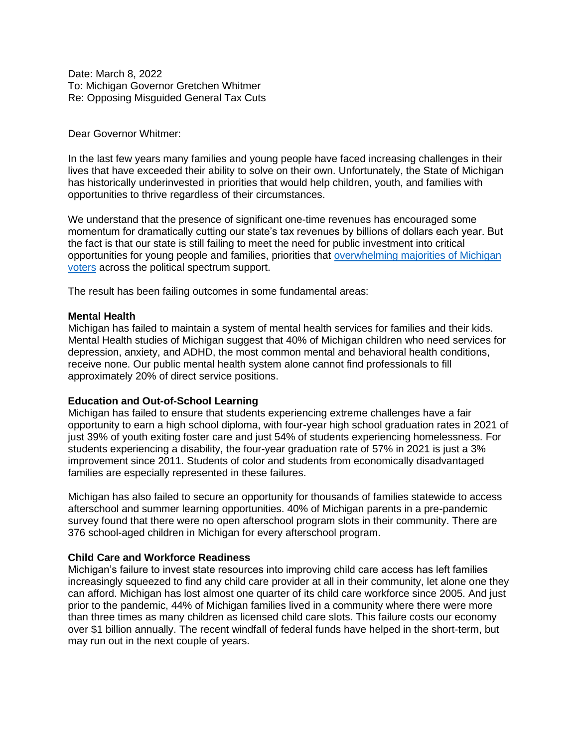Date: March 8, 2022 To: Michigan Governor Gretchen Whitmer Re: Opposing Misguided General Tax Cuts

## Dear Governor Whitmer:

In the last few years many families and young people have faced increasing challenges in their lives that have exceeded their ability to solve on their own. Unfortunately, the State of Michigan has historically underinvested in priorities that would help children, youth, and families with opportunities to thrive regardless of their circumstances.

We understand that the presence of significant one-time revenues has encouraged some momentum for dramatically cutting our state's tax revenues by billions of dollars each year. But the fact is that our state is still failing to meet the need for public investment into critical opportunities for young people and families, priorities that overwhelming majorities of Michigan voters across the political spectrum support.

The result has been failing outcomes in some fundamental areas:

## **Mental Health**

Michigan has failed to maintain a system of mental health services for families and their kids. Mental Health studies of Michigan suggest that 40% of Michigan children who need services for depression, anxiety, and ADHD, the most common mental and behavioral health conditions, receive none. Our public mental health system alone cannot find professionals to fill approximately 20% of direct service positions.

## **Education and Out-of-School Learning**

Michigan has failed to ensure that students experiencing extreme challenges have a fair opportunity to earn a high school diploma, with four-year high school graduation rates in 2021 of just 39% of youth exiting foster care and just 54% of students experiencing homelessness. For students experiencing a disability, the four-year graduation rate of 57% in 2021 is just a 3% improvement since 2011. Students of color and students from economically disadvantaged families are especially represented in these failures.

Michigan has also failed to secure an opportunity for thousands of families statewide to access afterschool and summer learning opportunities. 40% of Michigan parents in a pre-pandemic survey found that there were no open afterschool program slots in their community. There are 376 school-aged children in Michigan for every afterschool program.

## **Child Care and Workforce Readiness**

Michigan's failure to invest state resources into improving child care access has left families increasingly squeezed to find any child care provider at all in their community, let alone one they can afford. Michigan has lost almost one quarter of its child care workforce since 2005. And just prior to the pandemic, 44% of Michigan families lived in a community where there were more than three times as many children as licensed child care slots. This failure costs our economy over \$1 billion annually. The recent windfall of federal funds have helped in the short-term, but may run out in the next couple of years.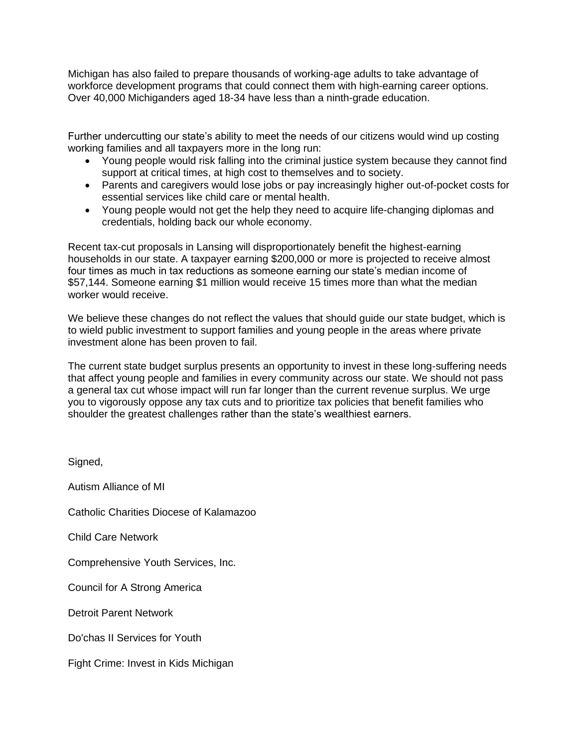Michigan has also failed to prepare thousands of working-age adults to take advantage of workforce development programs that could connect them with high-earning career options. Over 40,000 Michiganders aged 18-34 have less than a ninth-grade education.

Further undercutting our state's ability to meet the needs of our citizens would wind up costing working families and all taxpayers more in the long run:

- Young people would risk falling into the criminal justice system because they cannot find support at critical times, at high cost to themselves and to society.
- Parents and caregivers would lose jobs or pay increasingly higher out-of-pocket costs for essential services like child care or mental health.
- Young people would not get the help they need to acquire life-changing diplomas and credentials, holding back our whole economy.

Recent tax-cut proposals in Lansing will disproportionately benefit the highest-earning households in our state. A taxpayer earning \$200,000 or more is projected to receive almost four times as much in tax reductions as someone earning our state's median income of \$57,144. Someone earning \$1 million would receive 15 times more than what the median worker would receive.

We believe these changes do not reflect the values that should guide our state budget, which is to wield public investment to support families and young people in the areas where private investment alone has been proven to fail.

The current state budget surplus presents an opportunity to invest in these long-suffering needs that affect young people and families in every community across our state. We should not pass a general tax cut whose impact will run far longer than the current revenue surplus. We urge you to vigorously oppose any tax cuts and to prioritize tax policies that benefit families who shoulder the greatest challenges rather than the state's wealthiest earners.

Signed, Autism Alliance of MI Catholic Charities Diocese of Kalamazoo Child Care Network Comprehensive Youth Services, Inc. Council for A Strong America Detroit Parent Network Do'chas II Services for Youth Fight Crime: Invest in Kids Michigan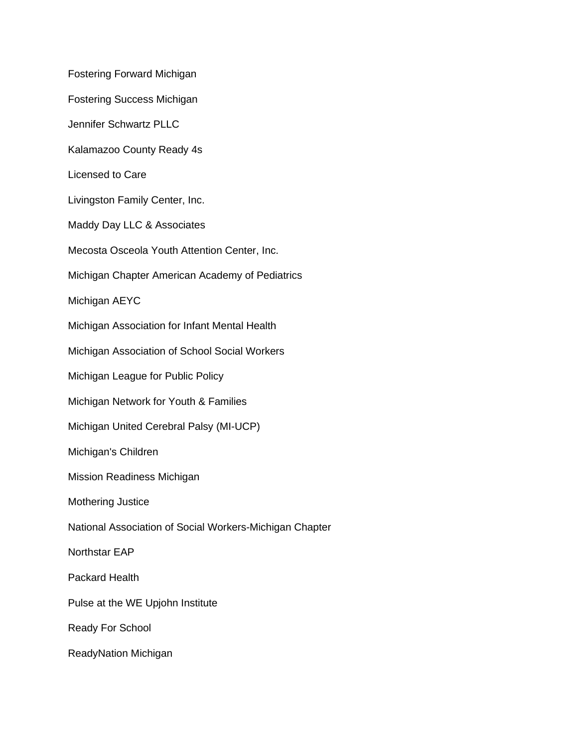Fostering Forward Michigan Fostering Success Michigan Jennifer Schwartz PLLC Kalamazoo County Ready 4s Licensed to Care Livingston Family Center, Inc. Maddy Day LLC & Associates Mecosta Osceola Youth Attention Center, Inc. Michigan Chapter American Academy of Pediatrics Michigan AEYC Michigan Association for Infant Mental Health Michigan Association of School Social Workers Michigan League for Public Policy Michigan Network for Youth & Families Michigan United Cerebral Palsy (MI-UCP) Michigan's Children Mission Readiness Michigan Mothering Justice National Association of Social Workers-Michigan Chapter Northstar EAP Packard Health Pulse at the WE Upjohn Institute Ready For School ReadyNation Michigan